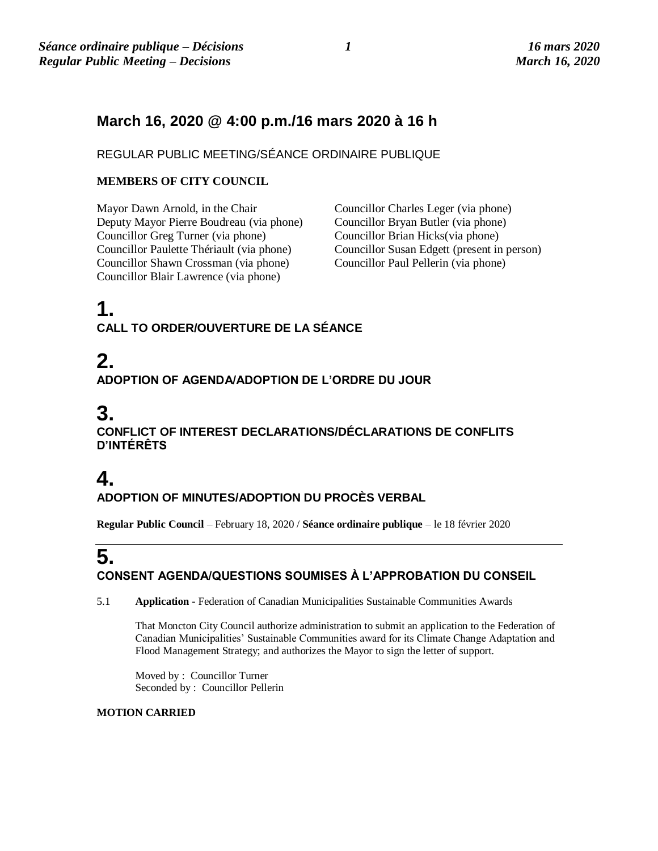## **March 16, 2020 @ 4:00 p.m./16 mars 2020 à 16 h**

REGULAR PUBLIC MEETING/SÉANCE ORDINAIRE PUBLIQUE

### **MEMBERS OF CITY COUNCIL**

Mayor Dawn Arnold, in the Chair Councillor Charles Leger (via phone) Deputy Mayor Pierre Boudreau (via phone) Councillor Bryan Butler (via phone) Councillor Greg Turner (via phone) Councillor Brian Hicks(via phone) Councillor Shawn Crossman (via phone) Councillor Blair Lawrence (via phone)

Councillor Susan Edgett (present in person)<br>Councillor Paul Pellerin (via phone)

## **1. CALL TO ORDER/OUVERTURE DE LA SÉANCE**

# **2. ADOPTION OF AGENDA/ADOPTION DE L'ORDRE DU JOUR**

## **3. CONFLICT OF INTEREST DECLARATIONS/DÉCLARATIONS DE CONFLITS D'INTÉRÊTS**

## **4. ADOPTION OF MINUTES/ADOPTION DU PROCÈS VERBAL**

**Regular Public Council** – February 18, 2020 / **Séance ordinaire publique** – le 18 février 2020

## **5. CONSENT AGENDA/QUESTIONS SOUMISES À L'APPROBATION DU CONSEIL**

5.1 **Application -** Federation of Canadian Municipalities Sustainable Communities Awards

That Moncton City Council authorize administration to submit an application to the Federation of Canadian Municipalities' Sustainable Communities award for its Climate Change Adaptation and Flood Management Strategy; and authorizes the Mayor to sign the letter of support.

Moved by : Councillor Turner Seconded by : Councillor Pellerin

#### **MOTION CARRIED**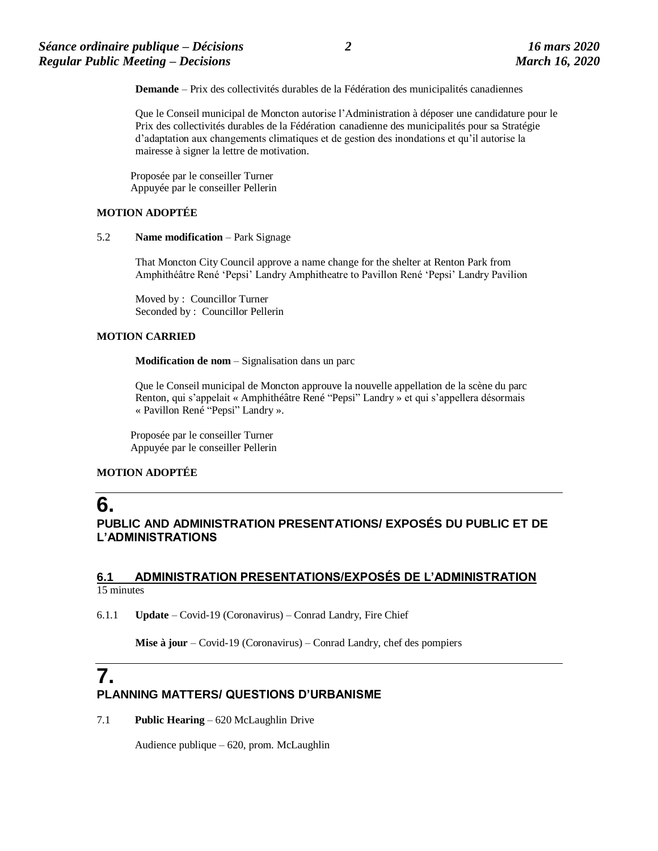**Demande** – Prix des collectivités durables de la Fédération des municipalités canadiennes

Que le Conseil municipal de Moncton autorise l'Administration à déposer une candidature pour le Prix des collectivités durables de la Fédération canadienne des municipalités pour sa Stratégie d'adaptation aux changements climatiques et de gestion des inondations et qu'il autorise la mairesse à signer la lettre de motivation.

Proposée par le conseiller Turner Appuyée par le conseiller Pellerin

#### **MOTION ADOPTÉE**

#### 5.2 **Name modification** – Park Signage

That Moncton City Council approve a name change for the shelter at Renton Park from Amphithéâtre René 'Pepsi' Landry Amphitheatre to Pavillon René 'Pepsi' Landry Pavilion

Moved by : Councillor Turner Seconded by : Councillor Pellerin

#### **MOTION CARRIED**

**Modification de nom** – Signalisation dans un parc

Que le Conseil municipal de Moncton approuve la nouvelle appellation de la scène du parc Renton, qui s'appelait « Amphithéâtre René "Pepsi" Landry » et qui s'appellera désormais « Pavillon René "Pepsi" Landry ».

Proposée par le conseiller Turner Appuyée par le conseiller Pellerin

#### **MOTION ADOPTÉE**

## **6.**

**PUBLIC AND ADMINISTRATION PRESENTATIONS/ EXPOSÉS DU PUBLIC ET DE L'ADMINISTRATIONS**

#### **6.1 ADMINISTRATION PRESENTATIONS/EXPOSÉS DE L'ADMINISTRATION**  15 minutes

6.1.1 **Update** – Covid-19 (Coronavirus) – Conrad Landry, Fire Chief

**Mise à jour** – Covid-19 (Coronavirus) – Conrad Landry, chef des pompiers

## **7. PLANNING MATTERS/ QUESTIONS D'URBANISME**

7.1 **Public Hearing** – 620 McLaughlin Drive

Audience publique – 620, prom. McLaughlin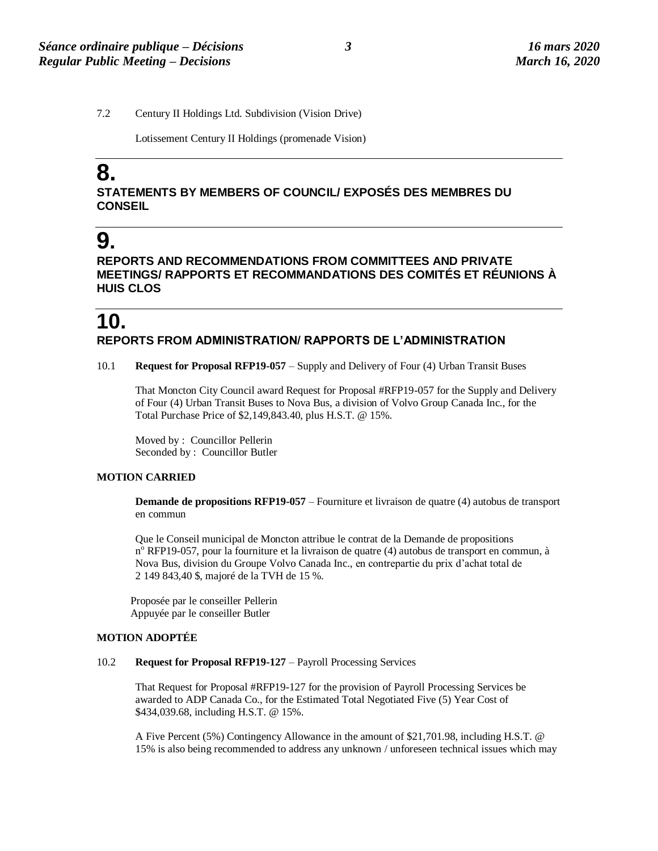7.2 Century II Holdings Ltd. Subdivision (Vision Drive)

Lotissement Century II Holdings (promenade Vision)

# **8.**

### **STATEMENTS BY MEMBERS OF COUNCIL/ EXPOSÉS DES MEMBRES DU CONSEIL**

# **9.**

**REPORTS AND RECOMMENDATIONS FROM COMMITTEES AND PRIVATE MEETINGS/ RAPPORTS ET RECOMMANDATIONS DES COMITÉS ET RÉUNIONS À HUIS CLOS**

## **10. REPORTS FROM ADMINISTRATION/ RAPPORTS DE L'ADMINISTRATION**

#### 10.1 **Request for Proposal RFP19-057** – Supply and Delivery of Four (4) Urban Transit Buses

That Moncton City Council award Request for Proposal #RFP19-057 for the Supply and Delivery of Four (4) Urban Transit Buses to Nova Bus, a division of Volvo Group Canada Inc., for the Total Purchase Price of \$2,149,843.40, plus H.S.T. @ 15%.

Moved by : Councillor Pellerin Seconded by : Councillor Butler

#### **MOTION CARRIED**

**Demande de propositions RFP19-057** – Fourniture et livraison de quatre (4) autobus de transport en commun

Que le Conseil municipal de Moncton attribue le contrat de la Demande de propositions n<sup>o</sup> RFP19-057, pour la fourniture et la livraison de quatre (4) autobus de transport en commun, à Nova Bus, division du Groupe Volvo Canada Inc., en contrepartie du prix d'achat total de 2 149 843,40 \$, majoré de la TVH de 15 %.

Proposée par le conseiller Pellerin Appuyée par le conseiller Butler

#### **MOTION ADOPTÉE**

#### 10.2 **Request for Proposal RFP19-127** – Payroll Processing Services

That Request for Proposal #RFP19-127 for the provision of Payroll Processing Services be awarded to ADP Canada Co., for the Estimated Total Negotiated Five (5) Year Cost of \$434,039.68, including H.S.T. @ 15%.

A Five Percent (5%) Contingency Allowance in the amount of \$21,701.98, including H.S.T. @ 15% is also being recommended to address any unknown / unforeseen technical issues which may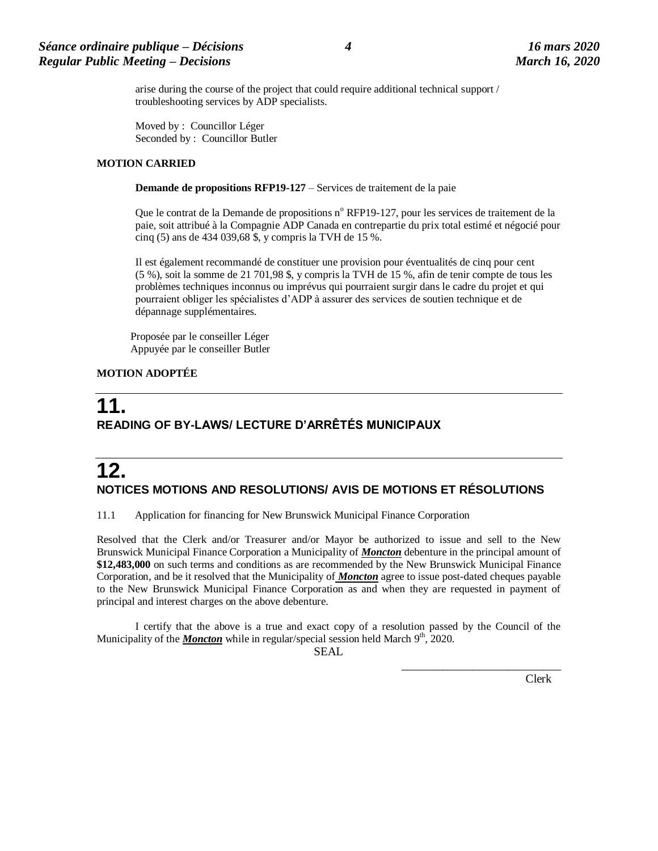arise during the course of the project that could require additional technical support / troubleshooting services by ADP specialists.

Moved by : Councillor Léger Seconded by : Councillor Butler

#### **MOTION CARRIED**

**Demande de propositions RFP19-127** – Services de traitement de la paie

Que le contrat de la Demande de propositions n° RFP19-127, pour les services de traitement de la paie, soit attribué à la Compagnie ADP Canada en contrepartie du prix total estimé et négocié pour cinq (5) ans de 434 039,68 \$, y compris la TVH de 15 %.

Il est également recommandé de constituer une provision pour éventualités de cinq pour cent (5 %), soit la somme de 21 701,98 \$, y compris la TVH de 15 %, afin de tenir compte de tous les problèmes techniques inconnus ou imprévus qui pourraient surgir dans le cadre du projet et qui pourraient obliger les spécialistes d'ADP à assurer des services de soutien technique et de dépannage supplémentaires.

Proposée par le conseiller Léger Appuyée par le conseiller Butler

#### **MOTION ADOPTÉE**

## **11. READING OF BY-LAWS/ LECTURE D'ARRÊTÉS MUNICIPAUX**

# **12. NOTICES MOTIONS AND RESOLUTIONS/ AVIS DE MOTIONS ET RÉSOLUTIONS**

11.1 Application for financing for New Brunswick Municipal Finance Corporation

Resolved that the Clerk and/or Treasurer and/or Mayor be authorized to issue and sell to the New Brunswick Municipal Finance Corporation a Municipality of *Moncton* debenture in the principal amount of **\$12,483,000** on such terms and conditions as are recommended by the New Brunswick Municipal Finance Corporation, and be it resolved that the Municipality of *Moncton* agree to issue post-dated cheques payable to the New Brunswick Municipal Finance Corporation as and when they are requested in payment of principal and interest charges on the above debenture.

I certify that the above is a true and exact copy of a resolution passed by the Council of the Municipality of the *Moncton* while in regular/special session held March 9<sup>th</sup>, 2020.

SEAL

Clerk

 $\frac{1}{2}$  ,  $\frac{1}{2}$  ,  $\frac{1}{2}$  ,  $\frac{1}{2}$  ,  $\frac{1}{2}$  ,  $\frac{1}{2}$  ,  $\frac{1}{2}$  ,  $\frac{1}{2}$  ,  $\frac{1}{2}$  ,  $\frac{1}{2}$  ,  $\frac{1}{2}$  ,  $\frac{1}{2}$  ,  $\frac{1}{2}$  ,  $\frac{1}{2}$  ,  $\frac{1}{2}$  ,  $\frac{1}{2}$  ,  $\frac{1}{2}$  ,  $\frac{1}{2}$  ,  $\frac{1$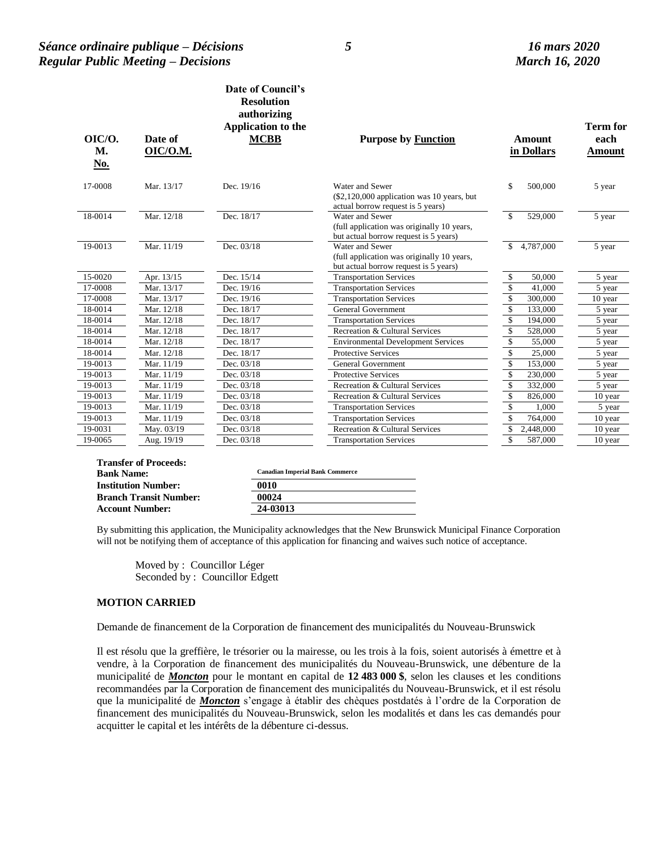#### *Séance ordinaire publique – Décisions 5 16 mars 2020 Regular Public Meeting – Decisions March 16, 2020*

| $OIC/O$ .<br>M.<br><u>No.</u> | Date of<br>OIC/O.M. | Date of Council's<br><b>Resolution</b><br>authorizing<br>Application to the<br><b>MCBB</b> | <b>Purpose by Function</b>                                                                             | <b>Amount</b><br>in Dollars        | <b>Term for</b><br>each<br>Amount |
|-------------------------------|---------------------|--------------------------------------------------------------------------------------------|--------------------------------------------------------------------------------------------------------|------------------------------------|-----------------------------------|
| 17-0008                       | Mar. 13/17          | Dec. 19/16                                                                                 | Water and Sewer<br>$(\$2,120,000$ application was 10 years, but<br>actual borrow request is 5 years)   | \$<br>500,000                      | 5 year                            |
| 18-0014                       | Mar. 12/18          | Dec. 18/17                                                                                 | Water and Sewer<br>(full application was originally 10 years,<br>but actual borrow request is 5 years) | $\mathbb{S}$<br>529,000            | 5 year                            |
| 19-0013                       | Mar. 11/19          | Dec. 03/18                                                                                 | Water and Sewer<br>(full application was originally 10 years,<br>but actual borrow request is 5 years) | 4,787,000<br>\$                    | 5 year                            |
| 15-0020                       | Apr. 13/15          | Dec. 15/14                                                                                 | <b>Transportation Services</b>                                                                         | \$<br>50,000                       | 5 year                            |
| 17-0008                       | Mar. 13/17          | Dec. 19/16                                                                                 | <b>Transportation Services</b>                                                                         | \$<br>41,000                       | $\overline{5}$ year               |
| 17-0008                       | Mar. 13/17          | Dec. 19/16                                                                                 | <b>Transportation Services</b>                                                                         | \$<br>300,000                      | 10 year                           |
| 18-0014                       | Mar. 12/18          | Dec. 18/17                                                                                 | <b>General Government</b>                                                                              | \$<br>133,000                      | 5 year                            |
| 18-0014                       | Mar. 12/18          | Dec. 18/17                                                                                 | <b>Transportation Services</b>                                                                         | \$<br>194,000                      | 5 year                            |
| 18-0014                       | Mar. 12/18          | Dec. 18/17                                                                                 | Recreation & Cultural Services                                                                         | \$<br>528,000                      | 5 year                            |
| 18-0014                       | Mar. 12/18          | Dec. 18/17                                                                                 | <b>Environmental Development Services</b>                                                              | $\mathbb{S}$<br>55,000             | 5 year                            |
| 18-0014                       | Mar. 12/18          | Dec. 18/17                                                                                 | <b>Protective Services</b>                                                                             | \$<br>25,000                       | 5 year                            |
| 19-0013                       | Mar. 11/19          | Dec. 03/18                                                                                 | <b>General Government</b>                                                                              | $\overline{\mathbb{S}}$<br>153,000 | 5 year                            |
| 19-0013                       | Mar. 11/19          | Dec. 03/18                                                                                 | <b>Protective Services</b>                                                                             | $\overline{\mathbb{S}}$<br>230,000 | 5 year                            |
| 19-0013                       | Mar. 11/19          | Dec. 03/18                                                                                 | Recreation & Cultural Services                                                                         | $\sqrt{\ }$<br>332,000             | 5 year                            |
| 19-0013                       | Mar. 11/19          | Dec. 03/18                                                                                 | Recreation & Cultural Services                                                                         | \$<br>826,000                      | 10 year                           |
| 19-0013                       | Mar. 11/19          | Dec. 03/18                                                                                 | <b>Transportation Services</b>                                                                         | \$<br>1,000                        | 5 year                            |
| 19-0013                       | Mar. 11/19          | Dec. 03/18                                                                                 | <b>Transportation Services</b>                                                                         | \$<br>764,000                      | 10 year                           |
| 19-0031                       | May. 03/19          | Dec. 03/18                                                                                 | Recreation & Cultural Services                                                                         | \$<br>2,448,000                    | 10 year                           |
| 19-0065                       | Aug. 19/19          | Dec. 03/18                                                                                 | <b>Transportation Services</b>                                                                         | \$<br>587,000                      | 10 year                           |

| <b>Bank Name:</b>             | <b>Canadian Imperial Bank Commerce</b> |  |
|-------------------------------|----------------------------------------|--|
| <b>Institution Number:</b>    | 0010                                   |  |
| <b>Branch Transit Number:</b> | 00024                                  |  |
| <b>Account Number:</b>        | 24-03013                               |  |
|                               |                                        |  |

By submitting this application, the Municipality acknowledges that the New Brunswick Municipal Finance Corporation will not be notifying them of acceptance of this application for financing and waives such notice of acceptance.

Moved by : Councillor Léger Seconded by : Councillor Edgett

#### **MOTION CARRIED**

Demande de financement de la Corporation de financement des municipalités du Nouveau-Brunswick

Il est résolu que la greffière, le trésorier ou la mairesse, ou les trois à la fois, soient autorisés à émettre et à vendre, à la Corporation de financement des municipalités du Nouveau-Brunswick, une débenture de la municipalité de *Moncton* pour le montant en capital de **12 483 000 \$**, selon les clauses et les conditions recommandées par la Corporation de financement des municipalités du Nouveau-Brunswick, et il est résolu que la municipalité de *Moncton* s'engage à établir des chèques postdatés à l'ordre de la Corporation de financement des municipalités du Nouveau-Brunswick, selon les modalités et dans les cas demandés pour acquitter le capital et les intérêts de la débenture ci-dessus.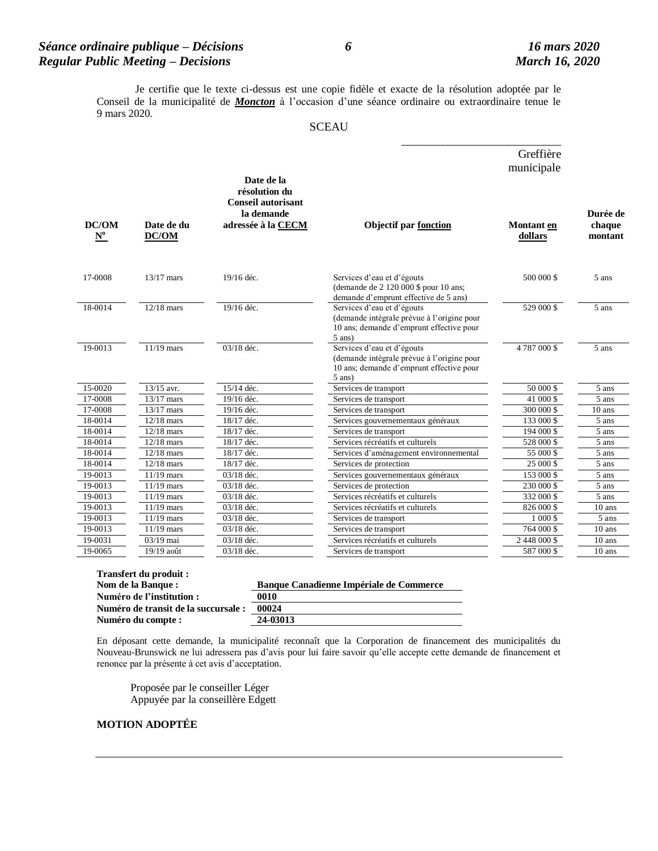### *Séance ordinaire publique – Décisions 6 16 mars 2020 Regular Public Meeting – Decisions March 16, 2020*

 $\frac{1}{2}$  ,  $\frac{1}{2}$  ,  $\frac{1}{2}$  ,  $\frac{1}{2}$  ,  $\frac{1}{2}$  ,  $\frac{1}{2}$  ,  $\frac{1}{2}$  ,  $\frac{1}{2}$  ,  $\frac{1}{2}$  ,  $\frac{1}{2}$  ,  $\frac{1}{2}$  ,  $\frac{1}{2}$  ,  $\frac{1}{2}$  ,  $\frac{1}{2}$  ,  $\frac{1}{2}$  ,  $\frac{1}{2}$  ,  $\frac{1}{2}$  ,  $\frac{1}{2}$  ,  $\frac{1$ 

Je certifie que le texte ci-dessus est une copie fidèle et exacte de la résolution adoptée par le Conseil de la municipalité de *Moncton* à l'occasion d'une séance ordinaire ou extraordinaire tenue le 9 mars 2020.

#### **SCEAU**

|                            |                     |                                                                                              |                                                                                                                                  | Greffière                    |                               |
|----------------------------|---------------------|----------------------------------------------------------------------------------------------|----------------------------------------------------------------------------------------------------------------------------------|------------------------------|-------------------------------|
|                            |                     |                                                                                              |                                                                                                                                  | municipale                   |                               |
| DC/OM<br>${\bf N}^{\bf o}$ | Date de du<br>DC/OM | Date de la<br>résolution du<br><b>Conseil autorisant</b><br>la demande<br>adressée à la CECM | <b>Objectif par fonction</b>                                                                                                     | <b>Montant</b> en<br>dollars | Durée de<br>chaque<br>montant |
| 17-0008                    | $13/17$ mars        | 19/16 déc.                                                                                   | Services d'eau et d'égouts<br>(demande de 2 120 000 \$ pour 10 ans;<br>demande d'emprunt effective de 5 ans)                     | 500 000 \$                   | 5 ans                         |
| 18-0014                    | $12/18$ mars        | 19/16 déc.                                                                                   | Services d'eau et d'égouts<br>(demande intégrale prévue à l'origine pour<br>10 ans; demande d'emprunt effective pour<br>$5$ ans) | 529 000 \$                   | 5 ans                         |
| 19-0013                    | $11/19$ mars        | 03/18 déc.                                                                                   | Services d'eau et d'égouts<br>(demande intégrale prévue à l'origine pour<br>10 ans; demande d'emprunt effective pour<br>$5$ ans) | 4787000\$                    | 5 ans                         |
| 15-0020                    | 13/15 avr.          | 15/14 déc.                                                                                   | Services de transport                                                                                                            | 50 000 \$                    | 5 ans                         |
| 17-0008                    | $13/17$ mars        | 19/16 déc.                                                                                   | Services de transport                                                                                                            | 41 000 \$                    | 5 ans                         |
| 17-0008                    | $13/17$ mars        | 19/16 déc.                                                                                   | Services de transport                                                                                                            | 300 000 \$                   | $10$ ans                      |
| 18-0014                    | $12/18$ mars        | 18/17 déc.                                                                                   | Services gouvernementaux généraux                                                                                                | 133 000 \$                   | 5 ans                         |
| 18-0014                    | $12/18$ mars        | 18/17 déc.                                                                                   | Services de transport                                                                                                            | 194 000 \$                   | 5 ans                         |
| 18-0014                    | $12/18$ mars        | 18/17 déc.                                                                                   | Services récréatifs et culturels                                                                                                 | 528 000 \$                   | 5 ans                         |
| 18-0014                    | $12/18$ mars        | 18/17 déc.                                                                                   | Services d'aménagement environnemental                                                                                           | 55 000 \$                    | 5 ans                         |
| 18-0014                    | $12/18$ mars        | 18/17 déc.                                                                                   | Services de protection                                                                                                           | 25 000 \$                    | 5 ans                         |
| 19-0013                    | $11/19$ mars        | 03/18 déc.                                                                                   | Services gouvernementaux généraux                                                                                                | 153 000 \$                   | 5 ans                         |
| 19-0013                    | $11/19$ mars        | 03/18 déc.                                                                                   | Services de protection                                                                                                           | 230 000 \$                   | 5 ans                         |
| 19-0013                    | $11/19$ mars        | 03/18 déc.                                                                                   | Services récréatifs et culturels                                                                                                 | 332 000 \$                   | 5 ans                         |
| 19-0013                    | $11/19$ mars        | 03/18 déc.                                                                                   | Services récréatifs et culturels                                                                                                 | 826 000 \$                   | $10$ ans                      |
| 19-0013                    | $11/19$ mars        | 03/18 déc.                                                                                   | Services de transport                                                                                                            | 1 000 \$                     | 5 ans                         |
| 19-0013                    | $11/19$ mars        | 03/18 déc.                                                                                   | Services de transport                                                                                                            | 764 000 \$                   | 10 ans                        |
| 19-0031                    | 03/19 mai           | 03/18 déc.                                                                                   | Services récréatifs et culturels                                                                                                 | 2 448 000 \$                 | 10 ans                        |
| 19-0065                    | 19/19 août          | 03/18 déc.                                                                                   | Services de transport                                                                                                            | 587 000 \$                   | $10$ ans                      |
|                            |                     |                                                                                              |                                                                                                                                  |                              |                               |

| Transfert du produit :               |                                         |  |  |  |
|--------------------------------------|-----------------------------------------|--|--|--|
| Nom de la Banque :                   | Banque Canadienne Impériale de Commerce |  |  |  |
| Numéro de l'institution :            | 0010                                    |  |  |  |
| Numéro de transit de la succursale : | 00024                                   |  |  |  |
| Numéro du compte :                   | 24-03013                                |  |  |  |

En déposant cette demande, la municipalité reconnaît que la Corporation de financement des municipalités du Nouveau-Brunswick ne lui adressera pas d'avis pour lui faire savoir qu'elle accepte cette demande de financement et renonce par la présente à cet avis d'acceptation.

Proposée par le conseiller Léger Appuyée par la conseillère Edgett

#### **MOTION ADOPTÉE**